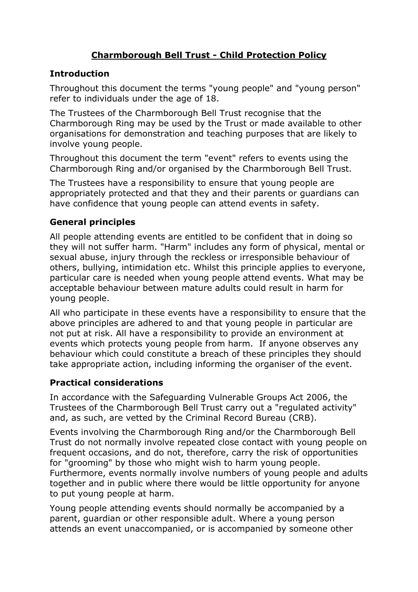# Charmborough Bell Trust - Child Protection Policy

## **Introduction**

Throughout this document the terms "young people" and "young person" refer to individuals under the age of 18.

The Trustees of the Charmborough Bell Trust recognise that the Charmborough Ring may be used by the Trust or made available to other organisations for demonstration and teaching purposes that are likely to involve young people.

Throughout this document the term "event" refers to events using the Charmborough Ring and/or organised by the Charmborough Bell Trust.

The Trustees have a responsibility to ensure that young people are appropriately protected and that they and their parents or guardians can have confidence that young people can attend events in safety.

## General principles

All people attending events are entitled to be confident that in doing so they will not suffer harm. "Harm" includes any form of physical, mental or sexual abuse, injury through the reckless or irresponsible behaviour of others, bullying, intimidation etc. Whilst this principle applies to everyone, particular care is needed when young people attend events. What may be acceptable behaviour between mature adults could result in harm for young people.

All who participate in these events have a responsibility to ensure that the above principles are adhered to and that young people in particular are not put at risk. All have a responsibility to provide an environment at events which protects young people from harm. If anyone observes any behaviour which could constitute a breach of these principles they should take appropriate action, including informing the organiser of the event.

### Practical considerations

In accordance with the Safeguarding Vulnerable Groups Act 2006, the Trustees of the Charmborough Bell Trust carry out a "regulated activity" and, as such, are vetted by the Criminal Record Bureau (CRB).

Events involving the Charmborough Ring and/or the Charmborough Bell Trust do not normally involve repeated close contact with young people on frequent occasions, and do not, therefore, carry the risk of opportunities for "grooming" by those who might wish to harm young people. Furthermore, events normally involve numbers of young people and adults together and in public where there would be little opportunity for anyone to put young people at harm.

Young people attending events should normally be accompanied by a parent, guardian or other responsible adult. Where a young person attends an event unaccompanied, or is accompanied by someone other